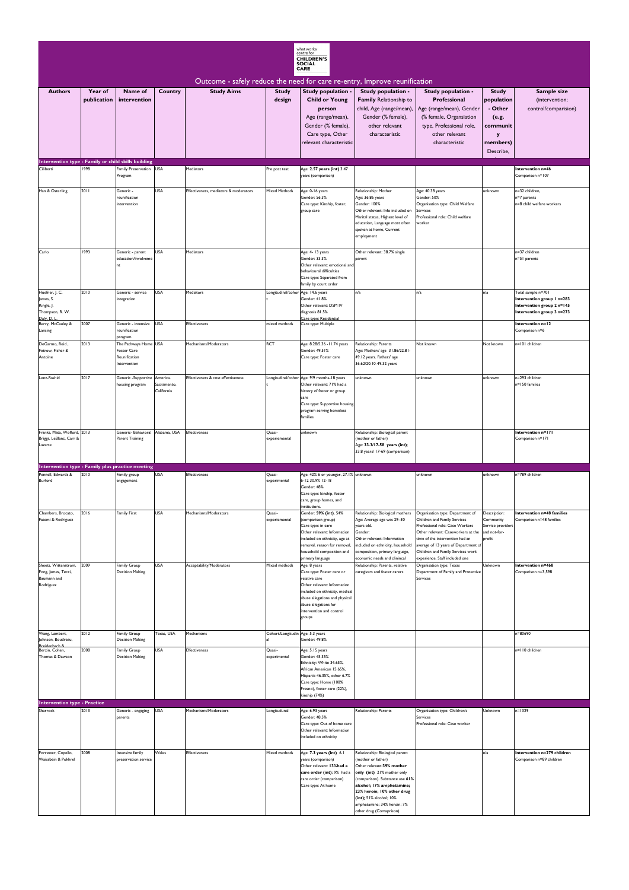| what works<br>centre for<br><b>CHILDREN'S</b><br><b>SOCIAL</b><br><b>CARE</b><br>Outcome - safely reduce the need for care re-entry, Improve reunification |                        |                                                                       |                                       |                                       |                                   |                                                                                                                                                                                                                              |                                                                                                                                                                                                                                                                                                      |                                                                                                                                                                                                                                                                                             |                                                                          |                                                                                        |
|------------------------------------------------------------------------------------------------------------------------------------------------------------|------------------------|-----------------------------------------------------------------------|---------------------------------------|---------------------------------------|-----------------------------------|------------------------------------------------------------------------------------------------------------------------------------------------------------------------------------------------------------------------------|------------------------------------------------------------------------------------------------------------------------------------------------------------------------------------------------------------------------------------------------------------------------------------------------------|---------------------------------------------------------------------------------------------------------------------------------------------------------------------------------------------------------------------------------------------------------------------------------------------|--------------------------------------------------------------------------|----------------------------------------------------------------------------------------|
| <b>Authors</b>                                                                                                                                             | Year of<br>publication | Name of<br>intervention                                               | <b>Country</b>                        | <b>Study Aims</b>                     | <b>Study</b><br>design            | Study population -<br><b>Child or Young</b><br>person                                                                                                                                                                        | Study population -<br>Family Relationship to<br>child, Age (range/mean),                                                                                                                                                                                                                             | Study population -<br>Professional<br>Age (range/mean), Gender                                                                                                                                                                                                                              | <b>Study</b><br>population<br>- Other                                    | Sample size<br>(intervention;<br>control/comparision)                                  |
|                                                                                                                                                            |                        |                                                                       |                                       |                                       |                                   | Age (range/mean),<br>Gender (% female),<br>Care type, Other<br>relevant characteristic                                                                                                                                       | Gender (% female),<br>other relevant<br>characteristic                                                                                                                                                                                                                                               | (% female, Organsiation<br>type, Professional role,<br>other relevant<br>characteristic                                                                                                                                                                                                     | (e.g.<br>communit<br>y<br>members)                                       |                                                                                        |
|                                                                                                                                                            |                        |                                                                       |                                       |                                       |                                   |                                                                                                                                                                                                                              |                                                                                                                                                                                                                                                                                                      |                                                                                                                                                                                                                                                                                             | Describe,                                                                |                                                                                        |
| Intervention type - Family or child skills building<br>Ciliberti                                                                                           | 1998                   | Family Preservation USA<br>Program                                    |                                       | Mediators                             | re post test                      | Age: 2.57 years (int) 3.47<br>years (comparison)                                                                                                                                                                             |                                                                                                                                                                                                                                                                                                      |                                                                                                                                                                                                                                                                                             |                                                                          | Intervention n=46<br>Comparison n=107                                                  |
| Han & Osterling                                                                                                                                            | 2011                   | Generic -<br>reunification<br>intervention                            | <b>USA</b>                            | Effectiveness, mediators & moderators | <b>Mixed Methods</b>              | Age: 0-16 years<br>Gender: 56.3%<br>Care type: Kinship, foster,<br>group care                                                                                                                                                | Relationship: Mother<br>Age: 36.86 years<br>Gender: 100%<br>Other relevant: Info included on<br>Marital status, Highest level of<br>education, Language most often<br>spoken at home, Current<br>employment                                                                                          | Age: 40.38 years<br>Gender: 50%<br>Organisation type: Child Welfare<br>Services<br>Professional role: Child welfare<br>worker                                                                                                                                                               | unknown                                                                  | n=32 children,<br>n=7 parents<br>n=8 child welfare workers                             |
| Carlo                                                                                                                                                      | 1993                   | Generic - parent<br>education/involveme<br>nt.                        | <b>USA</b>                            | Mediators                             |                                   | Age: 4-13 years<br>Gender: 33.3%<br>Other relevant: emotional and<br>behavioural difficulties                                                                                                                                | Other relevant: 38.7% single<br>parent                                                                                                                                                                                                                                                               |                                                                                                                                                                                                                                                                                             |                                                                          | n=37 children<br>n=51 parents                                                          |
| Huefner, J. C.                                                                                                                                             | 2010                   | Generic - service                                                     | <b>USA</b>                            | Mediators                             | ongitudinal/cohor Age: 14.6 years | Care type: Separated from<br>family by court order                                                                                                                                                                           | n/a                                                                                                                                                                                                                                                                                                  | n/a                                                                                                                                                                                                                                                                                         | n/a                                                                      | Total sample n=701                                                                     |
| James, S.<br>Ringle, J.<br>Thompson, R. W.<br>Daly, D. L                                                                                                   |                        | integration                                                           |                                       |                                       |                                   | Gender: 41.8%<br>Other relevant: DSM IV<br>diagnosis 81.5%<br>Care type: Residential                                                                                                                                         |                                                                                                                                                                                                                                                                                                      |                                                                                                                                                                                                                                                                                             |                                                                          | Intervention group I n=283<br>Intervention group 2 n=145<br>Intervention group 3 n=273 |
| Berry, McCauley &<br>Lansing                                                                                                                               | 2007                   | Generic - intensive<br>reunification<br>program                       | <b>USA</b>                            | <b>Effectiveness</b>                  | mixed methods                     | Care type: Multiple                                                                                                                                                                                                          |                                                                                                                                                                                                                                                                                                      |                                                                                                                                                                                                                                                                                             |                                                                          | Intervention n=12<br>Comparison n=6                                                    |
| DeGarmo, Reid,<br>Fetrow, Fisher &<br>Antoine                                                                                                              | 2013                   | The Pathways Home USA<br>Foster Care<br>Reunification<br>Intervention |                                       | Mechanisms/Moderators                 | <b>RCT</b>                        | Age: 8.28/5.36 - 11.74 years<br>Gender: 49.51%<br>Care type: Foster care                                                                                                                                                     | Relationship: Parents<br>Age: Mothers' age 31.86/22.81-<br>49.12 years. Fathers' age<br>36.62/20.10-49.32 years                                                                                                                                                                                      | Not known                                                                                                                                                                                                                                                                                   | Not known                                                                | n=101 children                                                                         |
| Lenz-Rashid                                                                                                                                                | 2017                   | Generic -Supportive<br>housing program                                | America.<br>Sacramento,<br>California | Effectiveness & cost effectiveness    |                                   | ongitudinal/cohor Age: 9/9 months-18 years<br>Other relevant: 71% had a<br>history of foster or group<br>care<br>Care type: Supportive housing<br>program serving homeless<br>families                                       | unknown                                                                                                                                                                                                                                                                                              | unknown                                                                                                                                                                                                                                                                                     | unknown                                                                  | 1=293 children<br>n=150 families                                                       |
| Franks, Mata, Wofford, 2013<br>Briggs, LeBlanc, Carr &<br>Lazarte                                                                                          |                        | Generic- Behavioral<br><b>Parent Training</b>                         | Alabama, USA                          | <b>Effectiveness</b>                  | Quasi-<br>experiemental           | unknown                                                                                                                                                                                                                      | Relationship: Biological parent<br>(mother or father)<br>Age: 33.3/17-58 years (int);<br>33.8 years/ 17-69 (comparison)                                                                                                                                                                              |                                                                                                                                                                                                                                                                                             |                                                                          | Intervention n=171<br>Comparison n=171                                                 |
| Intervention type - Family plus practice meeting                                                                                                           |                        |                                                                       |                                       |                                       |                                   |                                                                                                                                                                                                                              |                                                                                                                                                                                                                                                                                                      |                                                                                                                                                                                                                                                                                             |                                                                          |                                                                                        |
| Pennell, Edwards &<br>Burford                                                                                                                              | 2010                   | Family group<br>engagement                                            | <b>USA</b>                            | <b>Effectiveness</b>                  | Quasi-<br>experimental            | Age: 42% 6 or younger, 27.1% unknown<br>6-12 30.9% 12-18<br>Gender: 48%<br>Care type: kinship, foster<br>care, group homes, and<br>institutions.                                                                             |                                                                                                                                                                                                                                                                                                      | unknown                                                                                                                                                                                                                                                                                     | unknown                                                                  | n=789 children                                                                         |
| Chambers, Brocato,<br>Fatemi & Rodriguez                                                                                                                   | 2016                   | <b>Family First</b>                                                   | <b>USA</b>                            | Mechanisms/Moderators                 | Quasi-<br>experiemental           | Gender: 59% (int), 54%<br>(comparison group)<br>Care type: in care<br>Other relevant: Information<br>included on ethnicity, age at<br>removal, reason for removal,<br>household composition and<br>primary language          | Relationship: Biological mothers<br>Age: Average age was 29-30<br>years old.<br>Gender:<br>Other relevant: Information<br>included on ethnicity, household<br>composition, primary language,<br>economic needs and clinincal                                                                         | Organisation type: Department of<br>Children and Family Services<br>Professional role: Case Workers<br>Other relevant: Caseworkers at the<br>time of the intervention had an<br>average of 13 years of Department of<br>Children and Family Services work<br>experience. Staff included one | Description:<br>Community<br>Service providers<br>and not-for-<br>profit | Intervention n=48 families<br>Comparison n=48 families                                 |
| Sheets, Wittenstrom,<br>Fong, James, Tecci,<br>Baumann and<br>Rodriguez                                                                                    | 2009                   | <b>Family Group</b><br><b>Decision Making</b>                         | <b>USA</b>                            | Acceptability/Moderators              | Mixed methods                     | Age: 8 years<br>Care type: Foster care or<br>relative care<br>Other relevant: Information<br>included on ethnicity, medical<br>abuse allegations and physical<br>abuse allegations for<br>intervention and control<br>groups | Relationship: Parents, relative<br>caregivers and foster carers                                                                                                                                                                                                                                      | Organisation type: Texas<br>Department of Family and Protective<br>Services                                                                                                                                                                                                                 | Unknown                                                                  | Intervention n=468<br>Comparison n=3,598                                               |
| Wang, Lambert,<br>Johnson, Boudreau,                                                                                                                       | 2012                   | <b>Family Group</b><br><b>Decision Making</b>                         | Texas, USA                            | Mechanisms                            | Cohort/Longitudin Age: 5.3 years  | Gender: 49.8%                                                                                                                                                                                                                |                                                                                                                                                                                                                                                                                                      |                                                                                                                                                                                                                                                                                             |                                                                          | $= 80690$                                                                              |
| Berzin, Cohen,<br>Thomas & Dawson                                                                                                                          | 2008                   | <b>Family Group</b><br><b>Decision Making</b>                         | <b>USA</b>                            | Effectiveness                         | Quasi-<br>experimental            | Age: 5.15 years<br>Gender: 45.35%<br>Ethnicity: White 34.65%,<br>African American 15.65%,<br>Hispanic 46.35%, other 6.7%<br>Care type: Home (100%<br>Fresno), foster care (22%),<br>kinship (74%)                            |                                                                                                                                                                                                                                                                                                      |                                                                                                                                                                                                                                                                                             |                                                                          | n=110 children                                                                         |
| <b>Intervention type - Practice</b><br>Sharrock                                                                                                            | 2013                   | Generic - engaging                                                    | <b>USA</b>                            | Mechanisms/Moderators                 | Longitudunal                      | Age: 6.93 years                                                                                                                                                                                                              | Relationship: Parents                                                                                                                                                                                                                                                                                | Organisation type: Children's                                                                                                                                                                                                                                                               | Unknown                                                                  | n=1329                                                                                 |
|                                                                                                                                                            |                        | parents                                                               |                                       |                                       |                                   | Gender: 48.5%<br>Care type: Out of home care<br>Other relevant: Information<br>included on ethnicity                                                                                                                         |                                                                                                                                                                                                                                                                                                      | Services<br>Professional role: Case worker                                                                                                                                                                                                                                                  |                                                                          |                                                                                        |
| Forrester, Copello,<br>Waissbein & Pokhrel                                                                                                                 | 2008                   | Intensive family<br>preservation service                              | Wales                                 | Effectiveness                         | Mixed methods                     | Age: 7.3 years (int) 6.1<br>years (comparison)<br>Other relevant: 13%had a<br>care order (int); 9% had a<br>care order (comparison)<br>Care type: At home                                                                    | Relationship: Biological parent<br>(mother or father)<br>Other relevant: 39% mother<br>only (int) 21% mother only<br>(comparison). Substance use 61%<br>alcohol; 17% amphetamine;<br>23% heroin; 10% other drug<br>(int); 51% alcohol; 10%<br>amphetamine; 34% heroin; 7%<br>other drug (Comaprison) |                                                                                                                                                                                                                                                                                             | n/a                                                                      | Intervention n=279 children<br>Comparison n=89 children                                |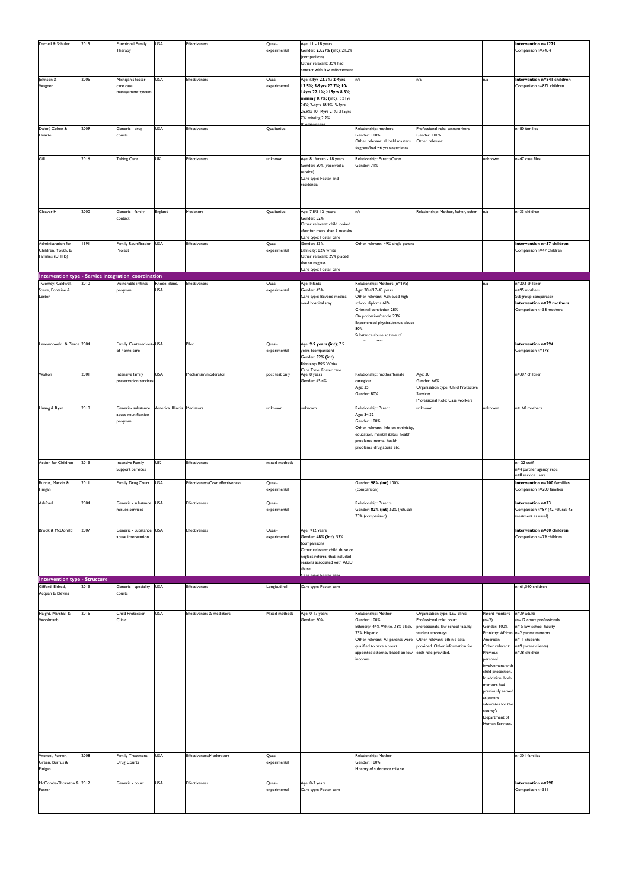| Darnell & Schuler                                    | 2015 | <b>Functional Family</b> | <b>USA</b>                  | <b>Effectiveness</b>             |                        | Age: 11 - 18 years                           |                                     |                                     |                    | Intervention n=1279             |
|------------------------------------------------------|------|--------------------------|-----------------------------|----------------------------------|------------------------|----------------------------------------------|-------------------------------------|-------------------------------------|--------------------|---------------------------------|
|                                                      |      | Therapy                  |                             |                                  | Quasi-<br>experimental | Gender: 23.57% (int); 21.3%                  |                                     |                                     |                    | Comparison n=7434               |
|                                                      |      |                          |                             |                                  |                        | (comparison)                                 |                                     |                                     |                    |                                 |
|                                                      |      |                          |                             |                                  |                        | Other relevant: 35% had                      |                                     |                                     |                    |                                 |
|                                                      |      |                          |                             |                                  |                        | contact with law enforcement                 |                                     |                                     |                    |                                 |
| Johnson &                                            | 2005 | Michigan's foster        | <b>USA</b>                  | Effectiveness                    | Quasi-                 | Age: ≤1yr 23.7%; 2-4yrs                      | n/a                                 | n/a                                 | n/a                | Intervention n=841 children     |
| Wagner                                               |      | care case                |                             |                                  | experimental           | 17.5%; 5-9yrs 27.7%; 10-                     |                                     |                                     |                    | Comparison n=871 children       |
|                                                      |      | management system        |                             |                                  |                        | 14yrs 22.1%; ≥15yrs 8.3%;                    |                                     |                                     |                    |                                 |
|                                                      |      |                          |                             |                                  |                        | missing 0.7%; (int). $: \leq  y $            |                                     |                                     |                    |                                 |
|                                                      |      |                          |                             |                                  |                        | 24%; 2-4yrs 18.9%; 5-9yrs                    |                                     |                                     |                    |                                 |
|                                                      |      |                          |                             |                                  |                        | 26.9%; 10-14yrs 21%; ≥15yrs                  |                                     |                                     |                    |                                 |
|                                                      |      |                          |                             |                                  |                        | 7%; missing 2.2%                             |                                     |                                     |                    |                                 |
|                                                      |      |                          |                             |                                  |                        | Comparison                                   |                                     |                                     |                    |                                 |
| Dakof, Cohen &                                       | 2009 | Generic - drug           | <b>USA</b>                  | Effectiveness                    | Qualitative            |                                              | Relationship: mothers               | Professional role: caseworkers      |                    | n=80 families                   |
| Duarte                                               |      | courts                   |                             |                                  |                        |                                              | Gender: 100%                        | Gender: 100%                        |                    |                                 |
|                                                      |      |                          |                             |                                  |                        |                                              | Other relevant: all held masters    | Other relevant:                     |                    |                                 |
|                                                      |      |                          |                             |                                  |                        |                                              | degrees/had ~6 yrs experience       |                                     |                    |                                 |
|                                                      |      |                          |                             |                                  |                        |                                              |                                     |                                     |                    |                                 |
| Gill                                                 | 2016 | <b>Taking Care</b>       | UK.                         | Effectiveness                    | unknown                | Age: 8.1/utero - 18 years                    | Relationship: Parent/Carer          |                                     | unknown            | n=47 case files                 |
|                                                      |      |                          |                             |                                  |                        | Gender: 50% (received a                      | Gender: 71%                         |                                     |                    |                                 |
|                                                      |      |                          |                             |                                  |                        | service)                                     |                                     |                                     |                    |                                 |
|                                                      |      |                          |                             |                                  |                        | Care type: Foster and                        |                                     |                                     |                    |                                 |
|                                                      |      |                          |                             |                                  |                        | residential                                  |                                     |                                     |                    |                                 |
|                                                      |      |                          |                             |                                  |                        |                                              |                                     |                                     |                    |                                 |
|                                                      |      |                          |                             |                                  |                        |                                              |                                     |                                     |                    |                                 |
|                                                      |      |                          |                             |                                  |                        |                                              |                                     |                                     |                    |                                 |
| Cleaver H                                            | 2000 | Generic - family         | England                     | Mediators                        | Qualitative            | Age: 7.8/5-12 years                          | n/a                                 | Relationship: Mother, father, other | n/a                | n=33 children                   |
|                                                      |      | contact                  |                             |                                  |                        | Gender: 52%                                  |                                     |                                     |                    |                                 |
|                                                      |      |                          |                             |                                  |                        | Other relevant: child looked                 |                                     |                                     |                    |                                 |
|                                                      |      |                          |                             |                                  |                        | after for more than 3 months                 |                                     |                                     |                    |                                 |
| Administration for                                   | 1991 | Family Reunification USA |                             | <b>Effectiveness</b>             | Quasi-                 | Care type: Foster care<br>Gender: 53%        | Other relevant: 49% single parent   |                                     |                    | Intervention n=57 children      |
| Children, Youth, &                                   |      |                          |                             |                                  |                        | Ethnicity: 82% white                         |                                     |                                     |                    |                                 |
|                                                      |      | Project                  |                             |                                  | experimental           |                                              |                                     |                                     |                    | Comparison n=47 children        |
| Families (DHHS)                                      |      |                          |                             |                                  |                        | Other relevant: 29% placed<br>due to neglect |                                     |                                     |                    |                                 |
|                                                      |      |                          |                             |                                  |                        | Care type: Foster care                       |                                     |                                     |                    |                                 |
| Intervention type - Service integration_coordination |      |                          |                             |                                  |                        |                                              |                                     |                                     |                    |                                 |
|                                                      |      |                          |                             |                                  |                        |                                              |                                     |                                     |                    |                                 |
| Twomey, Caldwell,                                    | 2010 | Vulnerable infants       | Rhode Island,               | <b>Effectiveness</b>             | Quasi-                 | Age: Infants                                 | Relationship: Mothers (n=195)       |                                     | n/a                | n=203 children                  |
| Soave, Fontaine &                                    |      | program                  | <b>USA</b>                  |                                  | experimental           | Gender: 45%                                  | Age: 28.4/17-43 years               |                                     |                    | n=95 mothers                    |
| Lester                                               |      |                          |                             |                                  |                        | Care type: Beyond medical                    | Other relevant: Achieved high       |                                     |                    | Subgroup comparator             |
|                                                      |      |                          |                             |                                  |                        | need hospital stay                           | school diploma 61%                  |                                     |                    | Intervention n=79 mothers       |
|                                                      |      |                          |                             |                                  |                        |                                              | Criminal conviction 28%             |                                     |                    | Comparison n=58 mothers         |
|                                                      |      |                          |                             |                                  |                        |                                              | On probation/parole 23%             |                                     |                    |                                 |
|                                                      |      |                          |                             |                                  |                        |                                              | Experienced physical/sexual abuse   |                                     |                    |                                 |
|                                                      |      |                          |                             |                                  |                        |                                              | 80%                                 |                                     |                    |                                 |
|                                                      |      |                          |                             |                                  |                        |                                              | Substance abuse at time of          |                                     |                    |                                 |
| Lewandowski & Pierce 2004                            |      | Family Centered out-USA  |                             | Pilot                            | Quasi-                 | Age: 9.9 years (int); 7.5                    |                                     |                                     |                    | Intervention n=294              |
|                                                      |      | of-home care             |                             |                                  | experimental           | years (comparison)                           |                                     |                                     |                    | Comparison n=178                |
|                                                      |      |                          |                             |                                  |                        | Gender: 52% (int)                            |                                     |                                     |                    |                                 |
|                                                      |      |                          |                             |                                  |                        | Ethnicity: 90% White                         |                                     |                                     |                    |                                 |
|                                                      |      |                          |                             |                                  |                        | Care Type: Enster care                       |                                     |                                     |                    |                                 |
| Walton                                               | 2001 | Intensive family         | <b>USA</b>                  | Mechanism/moderator              | post test only         | Age: 8 years                                 | Relationship: mother/female         | Age: 30                             |                    | n=307 children                  |
|                                                      |      | preservation services    |                             |                                  |                        | Gender: 45.4%                                | caregiver                           | Gender: 66%                         |                    |                                 |
|                                                      |      |                          |                             |                                  |                        |                                              | Age: 35                             | Organisation type: Child Protective |                    |                                 |
|                                                      |      |                          |                             |                                  |                        |                                              | Gender: 80%                         | Services                            |                    |                                 |
|                                                      |      |                          |                             |                                  |                        |                                              |                                     | Professional Role: Case workers     |                    |                                 |
| Huang & Ryan                                         | 2010 | Generic- substance       | America. Illinois Mediators |                                  | unknown                | unknown                                      | Relationship: Parent                | unknown                             | unknown            | n=160 mothers                   |
|                                                      |      | abuse reunification      |                             |                                  |                        |                                              | Age: 34.32                          |                                     |                    |                                 |
|                                                      |      | program                  |                             |                                  |                        |                                              | Gender: 100%                        |                                     |                    |                                 |
|                                                      |      |                          |                             |                                  |                        |                                              | Other relevant: Info on ethinicity, |                                     |                    |                                 |
|                                                      |      |                          |                             |                                  |                        |                                              | education, marital status, health   |                                     |                    |                                 |
|                                                      |      |                          |                             |                                  |                        |                                              | problems, mental health             |                                     |                    |                                 |
|                                                      |      |                          |                             |                                  |                        |                                              | problems, drug abuse etc.           |                                     |                    |                                 |
|                                                      |      |                          |                             |                                  |                        |                                              |                                     |                                     |                    |                                 |
|                                                      |      |                          |                             |                                  |                        |                                              |                                     |                                     |                    |                                 |
| Action for Children                                  | 2013 | Intensive Family         | <b>UK</b>                   | Effectiveness                    | mixed methods          |                                              |                                     |                                     |                    | $n = 22$ staff                  |
|                                                      |      | <b>Support Services</b>  |                             |                                  |                        |                                              |                                     |                                     |                    | n=4 partner agency reps         |
|                                                      |      |                          |                             |                                  |                        |                                              |                                     |                                     |                    | n=8 service users               |
| Burrus, Mackin &                                     | 2011 | Family Drug Court        | <b>USA</b>                  | Effectiveness/Cost effectiveness | Quasi-                 |                                              | Gender: 98% (int) 100%              |                                     |                    | Intervention n=200 families     |
| Finigan                                              |      |                          |                             |                                  | experimental           |                                              | (comparison)                        |                                     |                    | Comparison n=200 families       |
|                                                      |      |                          |                             |                                  |                        |                                              |                                     |                                     |                    |                                 |
| Ashford                                              | 2004 | Generic - substance USA  |                             | Effectiveness                    | Quasi-                 |                                              | Relationship: Parents               |                                     |                    | Intervention n=33               |
|                                                      |      | misuse services          |                             |                                  | experimental           |                                              | Gender: 82% (int) 52% (refusal)     |                                     |                    | Comparison n=87 (42 refusal; 45 |
|                                                      |      |                          |                             |                                  |                        |                                              | 73% (comparison)                    |                                     |                    | treatment as usual)             |
|                                                      |      |                          |                             |                                  |                        |                                              |                                     |                                     |                    |                                 |
| Brook & McDonald                                     | 2007 | Generic - Substance USA  |                             | Effectiveness                    | Quasi-                 | Age: <12 years                               |                                     |                                     |                    | Intervention n=60 children      |
|                                                      |      | abuse intervention       |                             |                                  | experimental           | Gender: 48% (int), 53%                       |                                     |                                     |                    | Comparison n=79 children        |
|                                                      |      |                          |                             |                                  |                        | (comparison)                                 |                                     |                                     |                    |                                 |
|                                                      |      |                          |                             |                                  |                        | Other relevant: child abuse or               |                                     |                                     |                    |                                 |
|                                                      |      |                          |                             |                                  |                        | neglect referral that included               |                                     |                                     |                    |                                 |
|                                                      |      |                          |                             |                                  |                        | reasons associated with AOD                  |                                     |                                     |                    |                                 |
|                                                      |      |                          |                             |                                  |                        | abuse                                        |                                     |                                     |                    |                                 |
|                                                      |      |                          |                             |                                  |                        |                                              |                                     |                                     |                    |                                 |
| <b>Intervention type - Structure</b>                 |      |                          |                             |                                  |                        |                                              |                                     |                                     |                    |                                 |
| Gifford, Eldred,                                     | 2013 | Generic - speciality     | <b>USA</b>                  | <b>Effectiveness</b>             | .ongitudinal           | Care type: Foster care                       |                                     |                                     |                    | n=61,540 children               |
| Acquah & Blevins                                     |      | courts                   |                             |                                  |                        |                                              |                                     |                                     |                    |                                 |
|                                                      |      |                          |                             |                                  |                        |                                              |                                     |                                     |                    |                                 |
|                                                      |      |                          |                             |                                  |                        |                                              |                                     |                                     |                    |                                 |
| Haight, Marshall &                                   | 2015 | <b>Child Protection</b>  | <b>USA</b>                  | Effectiveness & mediators        | Mixed methods          | Age: 0-17 years                              | Relationship: Mother                | Organisation type: Law clinic       | Parent mentors     | n=39 adults                     |
| Woolmanb                                             |      | Clinic                   |                             |                                  |                        | Gender: 50%                                  | Gender: 100%                        | Professional role: court            | (n=2).             | (n=12 court professionals       |
|                                                      |      |                          |                             |                                  |                        |                                              | Ethnicity: 44% White, 33% black,    | professionals, law school faculty,  | Gender: 100%       | n= 5 law school faculty         |
|                                                      |      |                          |                             |                                  |                        |                                              | 23% Hispanic.                       | student attorneys                   | Ethnicity: African | n=2 parent mentors              |
|                                                      |      |                          |                             |                                  |                        |                                              | Other relevant: All parents were    | Other relevant: ethinic data        | American           | n=11 students                   |
|                                                      |      |                          |                             |                                  |                        |                                              | qualified to have a court           | provided. Other information for     | Other relevant:    | n=9 parent clients)             |
|                                                      |      |                          |                             |                                  |                        |                                              | appointed attorney based on low-    | each role provided.                 | Previous           | n=38 children                   |
|                                                      |      |                          |                             |                                  |                        |                                              | incomes                             |                                     | personal           |                                 |
|                                                      |      |                          |                             |                                  |                        |                                              |                                     |                                     | involvement with   |                                 |
|                                                      |      |                          |                             |                                  |                        |                                              |                                     |                                     | child protection.  |                                 |
|                                                      |      |                          |                             |                                  |                        |                                              |                                     |                                     | In addition, both  |                                 |
|                                                      |      |                          |                             |                                  |                        |                                              |                                     |                                     | mentors had        |                                 |
|                                                      |      |                          |                             |                                  |                        |                                              |                                     |                                     | previously served  |                                 |
|                                                      |      |                          |                             |                                  |                        |                                              |                                     |                                     | as parent          |                                 |
|                                                      |      |                          |                             |                                  |                        |                                              |                                     |                                     | advocates for the  |                                 |
|                                                      |      |                          |                             |                                  |                        |                                              |                                     |                                     | county's           |                                 |
|                                                      |      |                          |                             |                                  |                        |                                              |                                     |                                     | Department of      |                                 |
|                                                      |      |                          |                             |                                  |                        |                                              |                                     |                                     | Human Services.    |                                 |
|                                                      |      |                          |                             |                                  |                        |                                              |                                     |                                     |                    |                                 |
|                                                      |      |                          |                             |                                  |                        |                                              |                                     |                                     |                    |                                 |
|                                                      |      |                          |                             |                                  |                        |                                              |                                     |                                     |                    |                                 |
|                                                      |      |                          |                             |                                  |                        |                                              |                                     |                                     |                    |                                 |
| Worcel, Furrer,                                      |      |                          | <b>USA</b>                  | Effectiveness/Moderators         | Quasi-                 |                                              | Relationship: Mother                |                                     |                    | n=301 families                  |
|                                                      |      |                          |                             |                                  |                        |                                              |                                     |                                     |                    |                                 |
|                                                      | 2008 | <b>Family Treatment</b>  |                             |                                  |                        |                                              | Gender: 100%                        |                                     |                    |                                 |
| Green, Burrus &                                      |      | Drug Courts              |                             |                                  | experimental           |                                              |                                     |                                     |                    |                                 |
| Finigan                                              |      |                          |                             |                                  |                        |                                              | History of substance misuse         |                                     |                    |                                 |
|                                                      |      |                          |                             |                                  |                        |                                              |                                     |                                     |                    |                                 |
| McCombs-Thornton & 2012                              |      | Generic - court          | <b>USA</b>                  | Effectiveness                    | Quasi-                 | Age: 0-3 years                               |                                     |                                     |                    | Intervention n=298              |
| Foster                                               |      |                          |                             |                                  | experimental           | Care type: Foster care                       |                                     |                                     |                    | Comparison n=511                |
|                                                      |      |                          |                             |                                  |                        |                                              |                                     |                                     |                    |                                 |
|                                                      |      |                          |                             |                                  |                        |                                              |                                     |                                     |                    |                                 |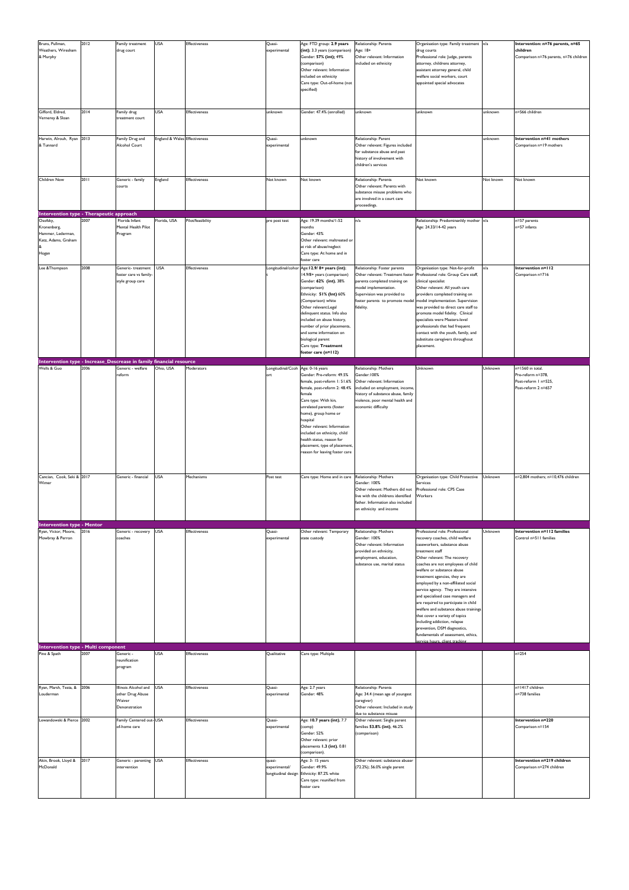| Bruns, Pullman,<br>Weathers, Wiresham<br>& Murphy<br>Gifford, Eldred,              | 2012<br>2014 | Family treatment<br>drug court<br>Family drug                       | <b>USA</b><br><b>USA</b>      | Effectiveness<br>Effectiveness | Quasi-<br>experimental<br>unknown              | Age: FTD group: 2.9 years<br>(int); 3.3 years (comparison)<br>Gender: 57% (int); 49%<br>(comparison)<br>Other relevant: Information<br>included on ethnicity<br>Care type: Out-of-home (not<br>specified)<br>Gender: 47.4% (enrolled)                                                                                                                                   | Relationship: Parents<br>Age: 18+<br>Other relevant: Information<br>included on ethnicity<br>unknown                                                                                                      | Organisation type: Family treatment n/a<br>drug courts<br>Professional role: Judge, parents<br>attorney, childrens attorney,<br>assistant attorney general, child<br>welfare social workers, court<br>appointed special advocates<br>unknown                                                                                                                                                                                                                                                                                                                                                                                           | unknown   | Intervention: n=76 parents, n=65<br>children<br>Comparison n=76 parents, n=76 children<br>n=566 children |
|------------------------------------------------------------------------------------|--------------|---------------------------------------------------------------------|-------------------------------|--------------------------------|------------------------------------------------|-------------------------------------------------------------------------------------------------------------------------------------------------------------------------------------------------------------------------------------------------------------------------------------------------------------------------------------------------------------------------|-----------------------------------------------------------------------------------------------------------------------------------------------------------------------------------------------------------|----------------------------------------------------------------------------------------------------------------------------------------------------------------------------------------------------------------------------------------------------------------------------------------------------------------------------------------------------------------------------------------------------------------------------------------------------------------------------------------------------------------------------------------------------------------------------------------------------------------------------------------|-----------|----------------------------------------------------------------------------------------------------------|
| Vernerey & Sloan                                                                   |              | treatment court                                                     |                               |                                |                                                |                                                                                                                                                                                                                                                                                                                                                                         |                                                                                                                                                                                                           |                                                                                                                                                                                                                                                                                                                                                                                                                                                                                                                                                                                                                                        |           |                                                                                                          |
| Harwin, Alrouh, Ryan 2013<br>& Tunnard                                             |              | Family Drug and<br>Alcohol Court                                    | England & Wales Effectiveness |                                | Quasi-<br>experimental                         | unknown                                                                                                                                                                                                                                                                                                                                                                 | Relationship: Parent<br>Other relevant: Figures included<br>for substance abuse and past<br>history of involvement with<br>children's services                                                            |                                                                                                                                                                                                                                                                                                                                                                                                                                                                                                                                                                                                                                        | unknown   | Intervention n=41 mothers<br>Comparison n=19 mothers                                                     |
| Children Now                                                                       | 2011         | Generic - family<br>courts                                          | England                       | Effectiveness                  | Not known                                      | Not known                                                                                                                                                                                                                                                                                                                                                               | Relationship: Parents<br>Other relevant: Parents with<br>substance misuse problems who<br>are involved in a court care<br>proceedings.                                                                    | Not known                                                                                                                                                                                                                                                                                                                                                                                                                                                                                                                                                                                                                              | Not known | Not known                                                                                                |
| Intervention type - Therapeutic approach                                           |              |                                                                     |                               |                                |                                                |                                                                                                                                                                                                                                                                                                                                                                         |                                                                                                                                                                                                           |                                                                                                                                                                                                                                                                                                                                                                                                                                                                                                                                                                                                                                        |           |                                                                                                          |
| Osofsky,<br>Kronenberg,<br>Hammer, Lederman,<br>Katz, Adams, Graham<br>Hogan       | 2007         | Florida Infant<br>Mental Health Pilot<br>Program                    | Florida, USA                  | Pilot/feasibility              | pre post test                                  | Age: 19.39 months/1-52<br>months<br>Gender: 43%<br>Other relevant: maltreated or<br>at risk of abuse/neglect<br>Care type: At home and in<br>foster care                                                                                                                                                                                                                | n/a                                                                                                                                                                                                       | Relationship: Predominanitly mother n/a<br>Age: 24.33/14-42 years                                                                                                                                                                                                                                                                                                                                                                                                                                                                                                                                                                      |           | n=57 parents<br>n=57 infants                                                                             |
| Lee & Thompson                                                                     | 2008         | Generic-treatment<br>foster care vs family-<br>style group care     | <b>USA</b>                    | <b>Effectiveness</b>           | Longitudinal/cohor                             | Age: 12.9/8+ years (int);<br>14.9/8+ years (comparison)<br>Gender: 62% (int), 38%<br>(comparison)<br>Ethnicity: 51% (Int) 60%<br>(Comparison) white<br>Other relevant:Legal<br>delinquent status. Info also<br>included on abuse history,<br>number of prior placements,<br>and some information on<br>biological parent<br>Care type: Treatment<br>foster care (n=112) | Relationship: Foster parents<br>Other relevant: Treatment foster<br>parents completed training on<br>model implementation.<br>Supervision was provided to<br>foster parents to promote model<br>fidelity. | Organisation type: Not-for-profit<br>Professional role: Group Care staff,<br>clinical specialist<br>Other relevant: All youth care<br>providers completed training on<br>model implementation. Supervision<br>was provided to direct care staff to<br>promote model fidelity. Clinical<br>specialists were Masters-level<br>professionals that had frequent<br>contact with the youth, family, and<br>substitute caregivers throughout<br>placement.                                                                                                                                                                                   | n/a       | Intervention n=112<br>Comparison n=716                                                                   |
| Intervention type - Increase_Descrease in family financial resource<br>Wells & Guo | 2006         | Generic - welfare                                                   | Ohio, USA                     | Moderators                     | Longitudinal/Ccoh Age: 0-16 years              |                                                                                                                                                                                                                                                                                                                                                                         | Relationship: Mothers                                                                                                                                                                                     | Unknown                                                                                                                                                                                                                                                                                                                                                                                                                                                                                                                                                                                                                                | Unknown   | n=1560 in total.                                                                                         |
|                                                                                    |              | reform                                                              |                               |                                | ort                                            | Gender: Pre-reform: 49.5%<br>female, post-reform 1: 51.6%<br>female, post-reform 2: 48.4%<br>female<br>Care type: With kin,<br>unrelated parents (foster<br>home), group home or<br>hospital<br>Other relevant: Information<br>included on ethnicity, child<br>health status, reason for<br>placement, type of placement,<br>reason for leaving foster care             | Gender: 100%<br>Other relevant: Information<br>included on employment, income,<br>history of substance abuse, family<br>violence, poor mental health and<br>economic difficulty                           |                                                                                                                                                                                                                                                                                                                                                                                                                                                                                                                                                                                                                                        |           | Pre-reform n=378,<br>Post-reform I n=525,<br>Post-reform 2 n=657                                         |
| Cancian, Cook, Seki & 2017<br>Wimer                                                |              | Generic - financial                                                 | <b>USA</b>                    | Mechanisms                     | Post test                                      | Care type: Home and in care                                                                                                                                                                                                                                                                                                                                             | Relationship: Mothers<br>Gender: 100%<br>Other relevant: Mothers did not<br>live with the childrens identified<br>father. Information also included<br>on ethnicity and income                            | Organisation type: Child Protective<br>Services<br>Professional role: CPS Case<br>Workers                                                                                                                                                                                                                                                                                                                                                                                                                                                                                                                                              | Unknown   | n=2,804 mothers; n=10,476 children                                                                       |
| <b>Intervention type - Mentor</b><br>Ryan, Victor, Moore,<br>Mowbray & Perron      | 2016         | Generic - recovery<br>coaches                                       | <b>USA</b>                    | Effectiveness                  | Quasi-<br>experimental                         | Other relevant: Temporary<br>state custody                                                                                                                                                                                                                                                                                                                              | Relationship: Mothers<br>Gender: 100%<br>Other relevant: Information<br>provided on ethnicity,<br>employment, education,<br>substance use, marital status                                                 | Professional role: Professional<br>recovery coaches, child welfare<br>caseworkers, substance abuse<br>treatment staff<br>Other relevant: The recovery<br>coaches are not employees of child<br>welfare or substance abuse<br>treatment agencies, they are<br>employed by a non-affiliated social<br>service agency. They are intensive<br>and specialised case managers and<br>are required to participate in child<br>welfare and substance abuse trainings<br>that cover a variety of topics<br>including addiction, relapse<br>prevention, DSM diagnostics,<br>fundamentals of assessment, ethics,<br>ervice hours, client tracking | Unknown   | Intervention n=112 families<br>Control n=511 families                                                    |
| <b>Intervention type - Multi component</b>                                         |              |                                                                     |                               |                                |                                                |                                                                                                                                                                                                                                                                                                                                                                         |                                                                                                                                                                                                           |                                                                                                                                                                                                                                                                                                                                                                                                                                                                                                                                                                                                                                        |           |                                                                                                          |
| Pine & Spath                                                                       | 2007         | Generic -<br>reunification<br>program                               | <b>USA</b>                    | Effectiveness                  | Qualitative                                    | Care type: Multiple                                                                                                                                                                                                                                                                                                                                                     |                                                                                                                                                                                                           |                                                                                                                                                                                                                                                                                                                                                                                                                                                                                                                                                                                                                                        |           | $n = 254$                                                                                                |
| Ryan, Marsh, Testa, &<br>Louderman                                                 | 2006         | Illinois Alcohol and<br>other Drug Abuse<br>Waiver<br>Denonstration | <b>USA</b>                    | <b>Effectiveness</b>           | Quasi-<br>experimental                         | Age: 2.7 years<br>Gender: 48%                                                                                                                                                                                                                                                                                                                                           | Relationship: Parents<br>Age: 34.4 (mean age of youngest<br>caregiver)<br>Other relevant: Included in study<br>due to substance misuse                                                                    |                                                                                                                                                                                                                                                                                                                                                                                                                                                                                                                                                                                                                                        |           | n=1417 children<br>n=738 families                                                                        |
| Lewandowski & Pierce 2002                                                          |              | Family Centered out-USA<br>of-home care                             |                               | <b>Effectiveness</b>           | Quasi-<br>experimental                         | Age: 10.7 years (int), 7.7<br>(comp)<br>Gender: 52%<br>Other relevant: prior<br>placements 1.3 (int), 0.81<br>(compariosn).                                                                                                                                                                                                                                             | Other relevant: Single parent<br>families 53.8% (int), 46.2%<br>(comparison)                                                                                                                              |                                                                                                                                                                                                                                                                                                                                                                                                                                                                                                                                                                                                                                        |           | Intervention n=220<br>Comparison n=154                                                                   |
| Akin, Brook, Lloyd &<br>McDonald                                                   | 2017         | Generic - parenting USA<br>intervention                             |                               | <b>Effectiveness</b>           | quasi-<br>experimental/<br>longitudinal design | Age: 3-15 years<br>Gender: 49.9%<br>Ethnicity: 87.2% white<br>Care type: reunified from<br>foster care                                                                                                                                                                                                                                                                  | Other relevant: substance abuser<br>(72.2%); 56.0% single parent                                                                                                                                          |                                                                                                                                                                                                                                                                                                                                                                                                                                                                                                                                                                                                                                        |           | Intervention n=219 children<br>Comparison n=274 children                                                 |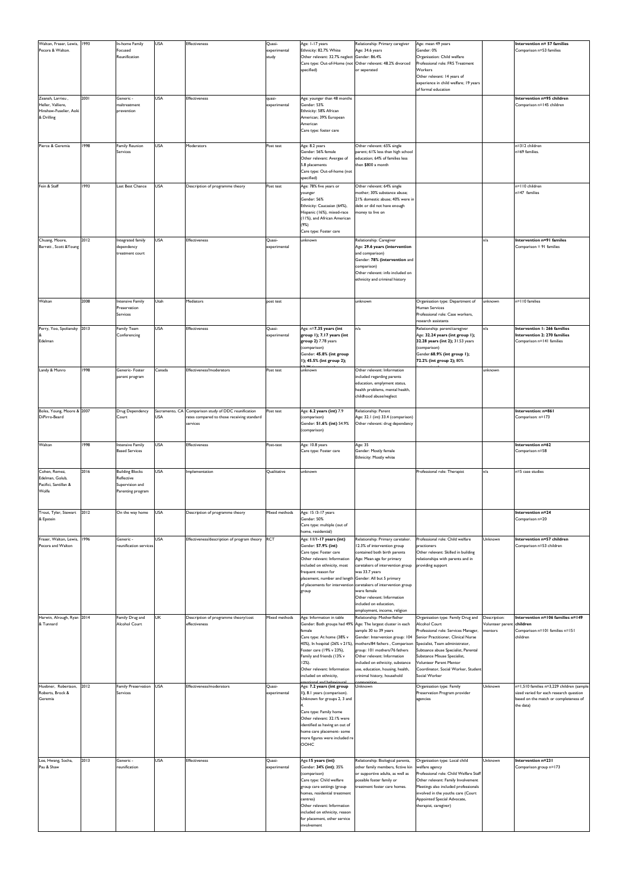| Walton, Fraser, Lewis, 1993<br>Pecora & Walton.                               |      | In-home Family<br>Focused<br>Reunification                                   | <b>USA</b>           | <b>Effectiveness</b>                                                                                           | Quasi-<br>experimental<br>study     | Age: 1-17 years<br>Ethnicity: 82.7% White<br>Other relevant: 32.7% neglect Gender: 86.4%<br>specified)                                                                                                                                                                             | Relationship: Primary caregiver<br>Age: 34.6 years<br>Care type: Out-of-Home (not Other relevant: 48.2% divorced<br>or seperated                                                                                                                                                                                                                                                                | Age: mean 49 years<br>Gender: 0%<br>Organisation: Child welfare<br>Professional role: FRS Treatment<br>Workers<br>Other relevant: 14 years of<br>experience in child welfare; 19 years<br>of formal education                                                                                                                          |                                             | Intervention n= 57 families<br>Comparison n=53 families                                                                                    |
|-------------------------------------------------------------------------------|------|------------------------------------------------------------------------------|----------------------|----------------------------------------------------------------------------------------------------------------|-------------------------------------|------------------------------------------------------------------------------------------------------------------------------------------------------------------------------------------------------------------------------------------------------------------------------------|-------------------------------------------------------------------------------------------------------------------------------------------------------------------------------------------------------------------------------------------------------------------------------------------------------------------------------------------------------------------------------------------------|----------------------------------------------------------------------------------------------------------------------------------------------------------------------------------------------------------------------------------------------------------------------------------------------------------------------------------------|---------------------------------------------|--------------------------------------------------------------------------------------------------------------------------------------------|
| Zeanah, Larrieu,<br>Heller, Valliere,<br>Hinshaw-Fuselier, Aoki<br>& Drilling | 2001 | Generic -<br>maltreatment<br>prevention                                      | <b>USA</b>           | Effectiveness                                                                                                  | quasi-<br>experimental              | Age: younger than 48 months<br>Gender: 53%<br>Ethnicity: 58% African<br>American; 39% European<br>American<br>Care type: foster care                                                                                                                                               |                                                                                                                                                                                                                                                                                                                                                                                                 |                                                                                                                                                                                                                                                                                                                                        |                                             | Intervention n=95 children<br>Comparison n=145 children                                                                                    |
| Pierce & Geremia                                                              | 1998 | Family Reunion<br>Services                                                   | <b>USA</b>           | Moderators                                                                                                     | Post test                           | Age: 8.2 years<br>Gender: 56% female<br>Other relevant: Avergae of<br>5.8 placements<br>Care type: Out-of-home (not<br>specified)                                                                                                                                                  | Other relevant: 65% single<br>parent; 61% less than high school<br>education; 64% of families less<br>then \$800 a month                                                                                                                                                                                                                                                                        |                                                                                                                                                                                                                                                                                                                                        |                                             | n=312 children<br>n=69 families.                                                                                                           |
| Fein & Staff                                                                  | 1993 | Last Best Chance                                                             | <b>USA</b>           | Description of programme theory                                                                                | Post test                           | Age: 78% five years or<br>younger<br>Gender: 56%<br>Ethnicity: Caucasian (64%),<br>Hispanic (16%), mixed-race<br>(11%), and African American<br>(9%)<br>Care type: Foster care                                                                                                     | Other relevant: 64% single<br>mother; 30% substance abuse;<br>21% domestic abuse; 40% were in<br>debt or did not have enough<br>money to live on                                                                                                                                                                                                                                                |                                                                                                                                                                                                                                                                                                                                        |                                             | n=110 children<br>n=47 families                                                                                                            |
| Chuang, Moore,<br>Barrett, Scott & Young                                      | 2012 | Integrated family<br>dependency<br>treatment court                           | <b>USA</b>           | <b>Effectiveness</b>                                                                                           | Quasi-<br>experimental              | unknown                                                                                                                                                                                                                                                                            | Relationship: Caregiver<br>Age: 29.6 years (intervention<br>and comparison)<br>Gender: 78% (intervention and<br>comparison)<br>Other relevant: info included on<br>ethnicity and criminal history                                                                                                                                                                                               |                                                                                                                                                                                                                                                                                                                                        | n/a                                         | Intervention n=91 familes<br>Comparison = 91 families                                                                                      |
| Walton                                                                        | 2008 | <b>Intensive Family</b><br>Preservation<br>Services                          | Utah                 | Mediators                                                                                                      | post test                           |                                                                                                                                                                                                                                                                                    | unknown                                                                                                                                                                                                                                                                                                                                                                                         | Organisation type: Department of<br>Human Services<br>Professional role: Case workers,<br>research assistants                                                                                                                                                                                                                          | unknown                                     | n=110 families                                                                                                                             |
| Perry, Yoo, Spoliansky 2013<br>Edelman<br>Landy & Munro                       | 1998 | Family Team<br>Conferencing<br>Generic- Foster                               | <b>USA</b><br>Canada | <b>Effectiveness</b><br>Effectiveness?moderators                                                               | Quasi-<br>experimental<br>Post test | Age: n=7.35 years (int<br>group 1); 7.17 years (int<br>group 2) 7.78 years<br>(comparison)<br>Gender: 45.8% (int group<br>I); 45.5% (int group 2);<br>unknown                                                                                                                      | n/a<br>Other relevant: Information                                                                                                                                                                                                                                                                                                                                                              | Relationship: parent/caregiver<br>Age: 32.24 years (int group 1);<br>32.28 years (int 2); 31.53 years<br>(comparison)<br>Gender:68.9% (int group 1);<br>72.2% (int group 2); 80%                                                                                                                                                       | n/a<br>unknown                              | Intervention 1: 266 families<br>Intervention 2: 270 families<br>Comparison n=141 families                                                  |
|                                                                               |      | parent program                                                               |                      |                                                                                                                |                                     |                                                                                                                                                                                                                                                                                    | included regarding parents<br>education, emplyment status,<br>health problems, mental health,<br>childhood abuse/neglect                                                                                                                                                                                                                                                                        |                                                                                                                                                                                                                                                                                                                                        |                                             |                                                                                                                                            |
| Boles, Young, Moore & 2007<br>DiPirro-Beard                                   |      | Drug Dependency<br>Court                                                     | <b>USA</b>           | Sacramento, CA Comparison study of DDC reunification<br>rates compared to those receiving standard<br>services | Post test                           | Age: 6.2 years (int) 7.9<br>(comparison)<br>Gender: 51.6% (int) 54.9%<br>(comparison)                                                                                                                                                                                              | Relationship: Parent<br>Age: 32.1 (int) 33.4 (comparison)<br>Other relevant: drug dependancy                                                                                                                                                                                                                                                                                                    |                                                                                                                                                                                                                                                                                                                                        |                                             | Intervention: n=861<br>Comparison: n=173                                                                                                   |
| Walton                                                                        | 1998 | Intensive Family<br><b>Based Services</b>                                    | <b>USA</b>           | <b>Effectiveness</b>                                                                                           | Post-test                           | Age: 10.8 years<br>Care type: Foster care                                                                                                                                                                                                                                          | Age: 35<br>Gender: Mostly female<br>Ethnicity: Mostly white                                                                                                                                                                                                                                                                                                                                     |                                                                                                                                                                                                                                                                                                                                        |                                             | Intervention n=62<br>Comparison n=58                                                                                                       |
| Cohen, Remez,<br>Edelman, Golub,<br>Pacifici, Santillan &<br>Wolfe            | 2016 | <b>Building Blocks</b><br>Reflective<br>Supervision and<br>Parenting program | <b>USA</b>           | Implementation                                                                                                 | Qualitative                         | unknown                                                                                                                                                                                                                                                                            |                                                                                                                                                                                                                                                                                                                                                                                                 | Professional role: Therapist                                                                                                                                                                                                                                                                                                           | n/a                                         | n=5 case studies                                                                                                                           |
| Trout, Tyler, Stewart<br>& Epstein                                            | 2012 | On the way home                                                              | <b>USA</b>           | Description of programme theory                                                                                | Mixed methods                       | Age: 15 /3-17 years<br>Gender: 50%<br>Care type: multiple (out of<br>home, residential)                                                                                                                                                                                            |                                                                                                                                                                                                                                                                                                                                                                                                 |                                                                                                                                                                                                                                                                                                                                        |                                             | Intervention n=24<br>Comparison n=20                                                                                                       |
| Fraser, Walton, Lewis, 1996<br>Pecora and Walton                              |      | Generic -<br>reunification services                                          | <b>USA</b>           | Effectiveness/description of program theory RCT                                                                |                                     | Age: II/I-I7 years (int)<br>Gender: 57.9% (int)<br>Care type: Foster care<br>Other relevant: Information<br>included on ethnicity, most<br>frequent reason for<br>placement, number and length Gender: All but 5 primary<br>group                                                  | Relationship: Primary caretaker.<br>12.3% of intervention group<br>contained both birth parents<br>Age: Mean age for primary<br>caretakers of intervention group<br>was 33.7 years<br>of placements for intervention caretakers of intervention group<br>were female<br>Other relevant: Information<br>included on education,<br>employment, income, religion                                   | Professional role: Child welfare<br>practioners<br>Other relevant: Skilled in building<br>relationships with parents and in<br>providing support                                                                                                                                                                                       | Unknown                                     | Intervention n=57 children<br>Comparison n=53 children                                                                                     |
| Harwin, Alrough, Ryan 2014<br>& Tunnard                                       |      | Family Drug and<br>Alcohol Court                                             | UK                   | Description of programme theory/cost<br>effectiveness                                                          | Mixed methods                       | Age: Information in table<br>female<br>Care type: At home (38% v<br>Foster care (19% v 23%),<br>Family and friends (13% v<br>$12%$ ).<br>Other relevant: Information<br>included on ethnicity,                                                                                     | Relationship: Mother/father<br>Gender: Both groups had 49% Age: The largest cluster in each<br>sample 30 to 39 years<br>Gender: Intervention group: 104<br>40%), In hospital (26% v 21%), mothers/84 fathers, Comparison<br>group: 101 mothers/76 fathers<br>Other relevant: Information<br>included on ethnicity, substance<br>use, education, housing, health,<br>crinimal history, household | Organisation type: Family Drug and<br><b>Alcohol Court</b><br>Professional role: Services Manager,<br>Senior Practitioner, Clinical Nurse<br>Specialist, Team administrator,<br>Subtsance abuse Specialist, Parental<br>Substance Misuse Specialist,<br>Volunteer Parent Mentor<br>Coordinator, Social Worker, Studen<br>Social Worker | Description:<br>Volunteer parent<br>nentors | Intervention n=106 families n=149<br>children<br>Comparison n=101 families n=151<br>children                                               |
| Huebner, Robertson,<br>Roberts, Brock &<br>Geremia                            | 2012 | <b>Family Preservation</b><br>Services                                       | <b>USA</b>           | Effectiveness/moderators                                                                                       | Quasi-<br>experimental              | Age: 7.2 years (int group<br>I), 8.1 years (comparison).<br>Unknown for groups 2, 3 and<br>Care type: Family home<br>Other relevant: 32.1% were<br>identified as having an out of<br>home care placement- some<br>more figures were included re<br>OOHC                            | Unknown                                                                                                                                                                                                                                                                                                                                                                                         | Organisation type: Family<br>Preservation Program provider<br>agencies                                                                                                                                                                                                                                                                 | Unknown                                     | n=1,510 families n=3,229 children (sample<br>sized varied for each research question<br>based on the match or completeness of<br>the data) |
| Lee, Hwang, Socha,<br>Pau & Shaw                                              | 2013 | Generic -<br>reunification                                                   | <b>USA</b>           | <b>Effectiveness</b>                                                                                           | Quasi-<br>experimental              | Age: 15 years (int)<br>Gender: 34% (int); 35%<br>(comparison)<br>Care type: Child welfare<br>group care settings (group<br>homes, residential treatment<br>centres)<br>Other relevant: Information<br>included on ethnicity, reason<br>for placement, other service<br>involvement | Relationship: Biological parents,<br>other family members, fictive kin<br>or supportive adults, as well as<br>possible foster family or<br>treatment foster care homes.                                                                                                                                                                                                                         | Organisation type: Local child<br>welfare agency<br>Professional role: Child Welfare Staff<br>Other relevant: Family Involvement<br>Meetings also included professionals<br>involved in the youths care (Court<br>Appointed Special Advocate,<br>therapist, caregiver)                                                                 | Unknown                                     | Intervention n=231<br>Comparison group n=173                                                                                               |